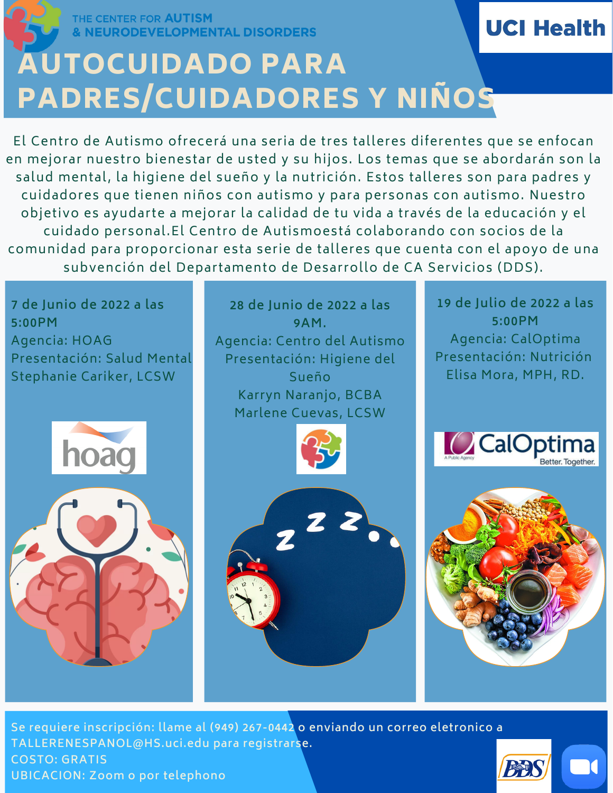THE CENTER FOR **AUTISM NEURODEVELOPMENTAL DISORDERS** 

## **UCI Health**

## AUTOCUIDADO PARA PADRES/CUIDADORES Y NIÑOS

El Centro de Autismo ofrecerá una seria de tres talleres diferentes que se enfocan en mejorar nuestro bienestar de usted y su hijos. Los temas que se abordarán son la salud mental, la higiene del sueño y la nutrición. Estos talleres son para padres y cuidadores que tienen niños con autismo y para personas con autismo. Nuestro objetivo es ayudarte a mejorar la calidad de tu vida a través de la educación y el cuidado personal.El Centro de Autismoestá colaborando con socios de la comunidad para proporcionar esta serie de talleres que cuenta con el apoyo de una subvención del Departamento de Desarrollo de CA Servicios (DDS).

**7 de Junio de 2022 a las 5:00PM** Agencia: HOAG Presentación: Salud Mental Stephanie Cariker, LCSW





**28 de Junio de 2022 a las 9AM.** Agencia: Centro del Autismo Presentación: Higiene del Sueño Karryn Naranjo, BCBA Marlene Cuevas, LCSW





**19 de Julio de 2022 a las 5:00PM** Agencia: CalOptima Presentación: Nutrición Elisa Mora, MPH, RD.





**Se requiere inscripción: llame al (949) 267-0442 o enviando un correo eletronico a TALLERENESPANOL@HS.uci.edu para registrarse. COSTO: GRATIS UBICACION: Zoom o por telephono**